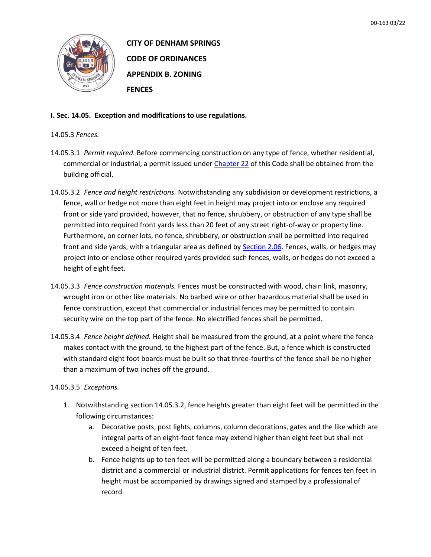

**CITY OF DENHAM SPRINGS CODE OF ORDINANCES APPENDIX B. ZONING FENCES**

**I. Sec. 14.05. Exception and modifications to use regulations.**

## 14.05.3 *Fences.*

- 14.05.3.1 *Permit required*. Before commencing construction on any type of fence, whether residential, commercial or industrial, a permit issued under [Chapter 22](https://library.municode.com/la/denham_springs/codes/code_of_ordinances?nodeId=COOR_CH22BUBURE) of this Code shall be obtained from the building official.
- 14.05.3.2 *Fence and height restrictions.* Notwithstanding any subdivision or development restrictions, a fence, wall or hedge not more than eight feet in height may project into or enclose any required front or side yard provided, however, that no fence, shrubbery, or obstruction of any type shall be permitted into required front yards less than 20 feet of any street right-of-way or property line. Furthermore, on corner lots, no fence, shrubbery, or obstruction shall be permitted into required front and side yards, with a triangular area as defined by [Section 2.06.](https://library.municode.com/la/denham_springs/codes/code_of_ordinances?nodeId=COOR_APXBZO_ART2GEPR_S2.06OBVISTINPR) Fences, walls, or hedges may project into or enclose other required yards provided such fences, walls, or hedges do not exceed a height of eight feet.
- 14.05.3.3 *Fence construction materials.* Fences must be constructed with wood, chain link, masonry, wrought iron or other like materials. No barbed wire or other hazardous material shall be used in fence construction, except that commercial or industrial fences may be permitted to contain security wire on the top part of the fence. No electrified fences shall be permitted.
- 14.05.3.4 *Fence height defined.* Height shall be measured from the ground, at a point where the fence makes contact with the ground, to the highest part of the fence. But, a fence which is constructed with standard eight foot boards must be built so that three-fourths of the fence shall be no higher than a maximum of two inches off the ground.

14.05.3.5 *Exceptions.*

- 1. Notwithstanding section 14.05.3.2, fence heights greater than eight feet will be permitted in the following circumstances:
	- a. Decorative posts, post lights, columns, column decorations, gates and the like which are integral parts of an eight-foot fence may extend higher than eight feet but shall not exceed a height of ten feet.
	- b. Fence heights up to ten feet will be permitted along a boundary between a residential district and a commercial or industrial district. Permit applications for fences ten feet in height must be accompanied by drawings signed and stamped by a professional of record.